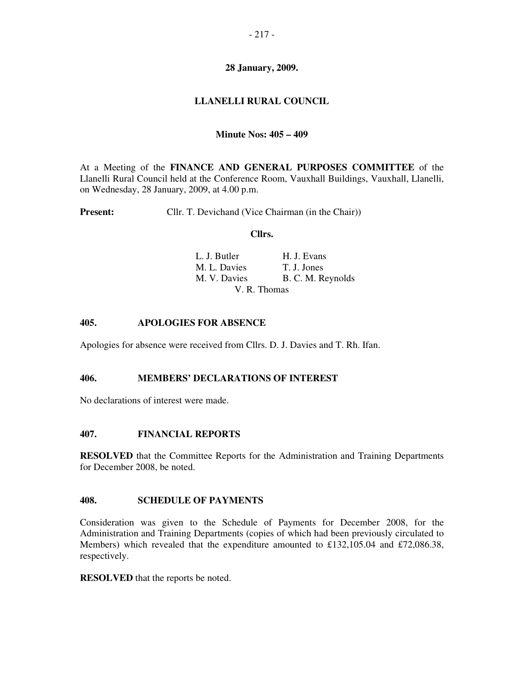# **28 January, 2009.**

# **LLANELLI RURAL COUNCIL**

## **Minute Nos: 405 – 409**

At a Meeting of the **FINANCE AND GENERAL PURPOSES COMMITTEE** of the Llanelli Rural Council held at the Conference Room, Vauxhall Buildings, Vauxhall, Llanelli, on Wednesday, 28 January, 2009, at 4.00 p.m.

**Present:** Cllr. T. Devichand (Vice Chairman (in the Chair))

#### **Cllrs.**

| L. J. Butler | H. J. Evans       |
|--------------|-------------------|
| M. L. Davies | T. J. Jones       |
| M. V. Davies | B. C. M. Reynolds |
|              | V. R. Thomas      |

### **405. APOLOGIES FOR ABSENCE**

Apologies for absence were received from Cllrs. D. J. Davies and T. Rh. Ifan.

### **406. MEMBERS' DECLARATIONS OF INTEREST**

No declarations of interest were made.

### **407. FINANCIAL REPORTS**

**RESOLVED** that the Committee Reports for the Administration and Training Departments for December 2008, be noted.

#### **408. SCHEDULE OF PAYMENTS**

Consideration was given to the Schedule of Payments for December 2008, for the Administration and Training Departments (copies of which had been previously circulated to Members) which revealed that the expenditure amounted to £132,105.04 and £72,086.38, respectively.

**RESOLVED** that the reports be noted.